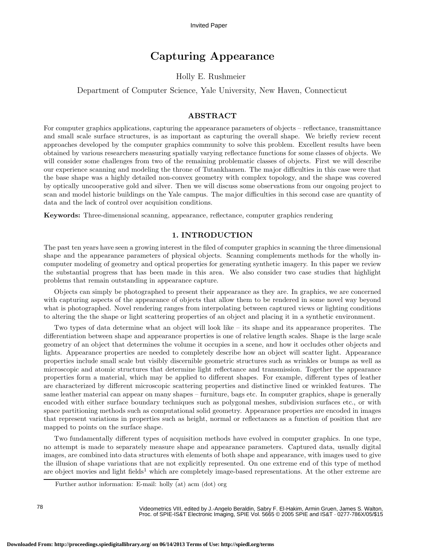# **Capturing Appearance**

Holly E. Rushmeier

Department of Computer Science, Yale University, New Haven, Connecticut

## **ABSTRACT**

For computer graphics applications, capturing the appearance parameters of objects – reflectance, transmittance and small scale surface structures, is as important as capturing the overall shape. We briefly review recent approaches developed by the computer graphics community to solve this problem. Excellent results have been obtained by various researchers measuring spatially varying reflectance functions for some classes of objects. We will consider some challenges from two of the remaining problematic classes of objects. First we will describe our experience scanning and modeling the throne of Tutankhamen. The major difficulties in this case were that the base shape was a highly detailed non-convex geometry with complex topology, and the shape was covered by optically uncooperative gold and silver. Then we will discuss some observations from our ongoing project to scan and model historic buildings on the Yale campus. The major difficulties in this second case are quantity of data and the lack of control over acquisition conditions.

**Keywords:** Three-dimensional scanning, appearance, reflectance, computer graphics rendering

# **1. INTRODUCTION**

The past ten years have seen a growing interest in the filed of computer graphics in scanning the three dimensional shape and the appearance parameters of physical objects. Scanning complements methods for the wholly incomputer modeling of geometry and optical properties for generating synthetic imagery. In this paper we review the substantial progress that has been made in this area. We also consider two case studies that highlight problems that remain outstanding in appearance capture.

Objects can simply be photographed to present their appearance as they are. In graphics, we are concerned with capturing aspects of the appearance of objects that allow them to be rendered in some novel way beyond what is photographed. Novel rendering ranges from interpolating between captured views or lighting conditions to altering the the shape or light scattering properties of an object and placing it in a synthetic environment.

Two types of data determine what an object will look like – its shape and its appearance properites. The differentiation between shape and appearance properties is one of relative length scales. Shape is the large scale geometry of an object that determines the volume it occupies in a scene, and how it occludes other objects and lights. Appearance properties are needed to completely describe how an object will scatter light. Appearance properties include small scale but visibly discernible geometric structures such as wrinkles or bumps as well as microscopic and atomic structures that determine light reflectance and transmission. Together the appearance properties form a material, which may be applied to different shapes. For example, different types of leather are characterized by different microscopic scattering properties and distinctive lined or wrinkled features. The same leather material can appear on many shapes – furniture, bags etc. In computer graphics, shape is generally encoded with either surface boundary techniques such as polygonal meshes, subdivision surfaces etc., or with space partitioning methods such as computational solid geometry. Appearance properties are encoded in images that represent variations in properties such as height, normal or reflectances as a function of position that are mapped to points on the surface shape.

Two fundamentally different types of acquisition methods have evolved in computer graphics. In one type, no attempt is made to separately measure shape and appearance parameters. Captured data, usually digital images, are combined into data structures with elements of both shape and appearance, with images used to give the illusion of shape variations that are not explicitly represented. On one extreme end of this type of method are object movies and light fields<sup>1</sup> which are completely image-based representations. At the other extreme are

Further author information: E-mail: holly (at) acm (dot) org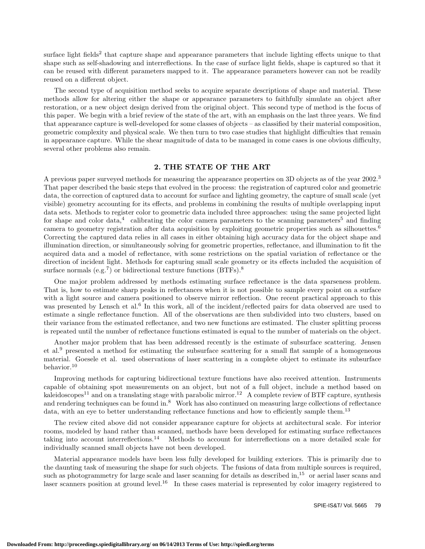surface light fields<sup>2</sup> that capture shape and appearance parameters that include lighting effects unique to that shape such as self-shadowing and interreflections. In the case of surface light fields, shape is captured so that it can be reused with different parameters mapped to it. The appearance parameters however can not be readily reused on a different object.

The second type of acquisition method seeks to acquire separate descriptions of shape and material. These methods allow for altering either the shape or appearance parameters to faithfully simulate an object after restoration, or a new object design derived from the original object. This second type of method is the focus of this paper. We begin with a brief review of the state of the art, with an emphasis on the last three years. We find that appearance capture is well-developed for some classes of objects – as classified by their material composition, geometric complexity and physical scale. We then turn to two case studies that highlight difficulties that remain in appearance capture. While the shear magnitude of data to be managed in come cases is one obvious difficulty, several other problems also remain.

## **2. THE STATE OF THE ART**

A previous paper surveyed methods for measuring the appearance properties on 3D objects as of the year 2002.<sup>3</sup> That paper described the basic steps that evolved in the process: the registration of captured color and geometric data, the correction of captured data to account for surface and lighting geometry, the capture of small scale (yet visible) geometry accounting for its effects, and problems in combining the results of multiple overlapping input data sets. Methods to register color to geometric data included three approaches: using the same projected light for shape and color data,<sup>4</sup> calibrating the color camera parameters to the scanning parameters<sup>5</sup> and finding camera to geometry registration after data acquisition by exploiting geometric properties such as silhouettes.<sup>6</sup> Correcting the captured data relies in all cases in either obtaining high accuracy data for the object shape and illumination direction, or simultaneously solving for geometric properties, reflectance, and illumination to fit the acquired data and a model of reflectance, with some restrictions on the spatial variation of reflectance or the direction of incident light. Methods for capturing small scale geometry or its effects included the acquisition of surface normals (e.g.<sup>7</sup>) or bidirectional texture functions  $(BTFs).<sup>8</sup>$ 

One major problem addressed by methods estimating surface reflectance is the data sparseness problem. That is, how to estimate sharp peaks in reflectances when it is not possible to sample every point on a surface with a light source and camera positioned to observe mirror reflection. One recent practical approach to this was presented by Lensch et al.<sup>6</sup> In this work, all of the incident/reflected pairs for data observed are used to estimate a single reflectance function. All of the observations are then subdivided into two clusters, based on their variance from the estimated reflectance, and two new functions are estimated. The cluster splitting process is repeated until the number of reflectance functions estimated is equal to the number of materials on the object.

Another major problem that has been addressed recently is the estimate of subsurface scattering. Jensen et al.<sup>9</sup> presented a method for estimating the subsurface scattering for a small flat sample of a homogeneous material. Goesele et al. used observations of laser scattering in a complete object to estimate its subsurface behavior.<sup>10</sup>

Improving methods for capturing bidirectional texture functions have also received attention. Instruments capable of obtaining spot measurements on an object, but not of a full object, include a method based on kaleidoscopes<sup>11</sup> and on a translating stage with parabolic mirror.<sup>12</sup> A complete review of BTF capture, synthesis and rendering techniques can be found in. $8$  Work has also continued on measuring large collections of reflectance data, with an eye to better understanding reflectance functions and how to efficiently sample them.<sup>13</sup>

The review cited above did not consider appearance capture for objects at architectural scale. For interior rooms, modeled by hand rather than scanned, methods have been developed for estimating surface reflectances taking into account interreflections.<sup>14</sup> Methods to account for interreflections on a more detailed scale for individually scanned small objects have not been developed.

Material appearance models have been less fully developed for building exteriors. This is primarily due to the daunting task of measuring the shape for such objects. The fusions of data from multiple sources is required, such as photogrammetry for large scale and laser scanning for details as described in,<sup>15</sup> or aerial laser scans and laser scanners position at ground level.<sup>16</sup> In these cases material is represented by color imagery registered to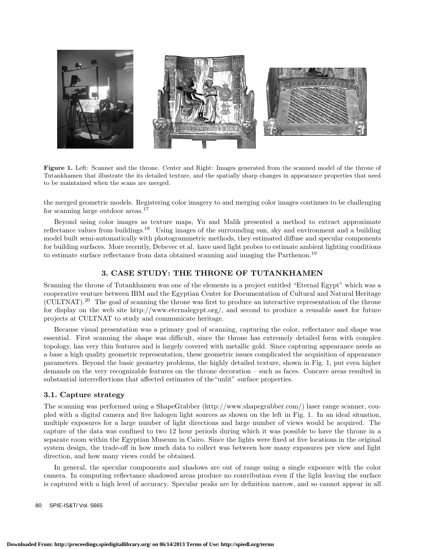

**Figure 1.** Left: Scanner and the throne. Center and Right: Images generated from the scanned model of the throne of Tutankhamen that illustrate the its detailed texture, and the spatially sharp changes in appearance properties that need to be maintained when the scans are merged.

the merged geometric models. Registering color imagery to and merging color images continues to be challenging for scanning large outdoor areas.<sup>17</sup>

Beyond using color images as texture maps, Yu and Malik presented a method to extract approximate reflectance values from buildings.<sup>18</sup> Using images of the surrounding sun, sky and environment and a building model built semi-automatically with photogrammetric methods, they estimated diffuse and specular components for building surfaces. More recently, Debevec et al. have used light probes to estimate ambient lighting conditions to estimate surface reflectance from data obtained scanning and imaging the Parthenon.<sup>19</sup>

## **3. CASE STUDY: THE THRONE OF TUTANKHAMEN**

Scanning the throne of Tutankhamen was one of the elements in a project entitled "Eternal Egypt" which was a cooperative venture between IBM and the Egyptian Center for Documentation of Cultural and Natural Heritage (CULTNAT).<sup>20</sup> The goal of scanning the throne was first to produce an interactive representation of the throne for display on the web site http://www.eternalegypt.org/, and second to produce a reusable asset for future projects at CULTNAT to study and communicate heritage.

Because visual presentation was a primary goal of scanning, capturing the color, reflectance and shape was essential. First scanning the shape was difficult, since the throne has extremely detailed form with complex topology, has very thin features and is largely covered with metallic gold. Since capturing appearance needs as a base a high quality geometric representation, these geometric issues complicated the acquisition of appearance parameters. Beyond the basic geometry problems, the highly detailed texture, shown in Fig. 1, put even higher demands on the very recognizable features on the throne decoration – such as faces. Concave areas resulted in substantial interreflections that affected estimates of the"unlit" surface properties.

#### **3.1. Capture strategy**

The scanning was performed using a ShapeGrabber (http://www.shapegrabber.com/) laser range scanner, coupled with a digital camera and five halogen light sources as shown on the left in Fig. 1. In an ideal situation, multiple exposures for a large number of light directions and large number of views would be acquired. The capture of the data was confined to two 12 hour periods during which it was possible to have the throne in a separate room within the Egyptian Museum in Cairo. Since the lights were fixed at five locations in the original system design, the trade-off in how much data to collect was between how many exposures per view and light direction, and how many views could be obtained.

In general, the specular components and shadows are out of range using a single exposure with the color camera. In computing reflectance shadowed areas produce no contribution even if the light leaving the surface is captured with a high level of accuracy. Specular peaks are by definition narrow, and so cannot appear in all

#### 80 SPIE-IS&T/ Vol. 5665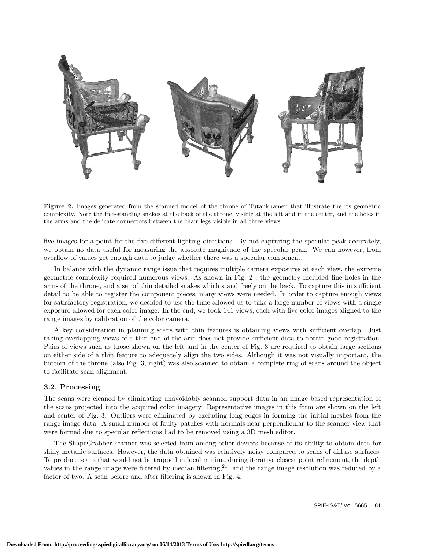

**Figure 2.** Images generated from the scanned model of the throne of Tutankhamen that illustrate the its geometric complexity. Note the free-standing snakes at the back of the throne, visible at the left and in the center, and the holes in the arms and the delicate connectors between the chair legs visible in all three views.

five images for a point for the five different lighting directions. By not capturing the specular peak accurately, we obtain no data useful for measuring the absolute magnitude of the specular peak. We can however, from overflow of values get enough data to judge whether there was a specular component.

In balance with the dynamic range issue that requires multiple camera exposures at each view, the extreme geometric complexity required numerous views. As shown in Fig. 2 , the geometry included fine holes in the arms of the throne, and a set of thin detailed snakes which stand freely on the back. To capture this in sufficient detail to be able to register the component pieces, many views were needed. In order to capture enough views for satisfactory registration, we decided to use the time allowed us to take a large number of views with a single exposure allowed for each color image. In the end, we took 141 views, each with five color images aligned to the range images by calibration of the color camera.

A key consideration in planning scans with thin features is obtaining views with sufficient overlap. Just taking overlapping views of a thin end of the arm does not provide sufficient data to obtain good registration. Pairs of views such as those shown on the left and in the center of Fig. 3 are required to obtain large sections on either side of a thin feature to adequately align the two sides. Although it was not visually important, the bottom of the throne (also Fig. 3, right) was also scanned to obtain a complete ring of scans around the object to facilitate scan alignment.

## **3.2. Processing**

The scans were cleaned by eliminating unavoidably scanned support data in an image based representation of the scans projected into the acquired color imagery. Representative images in this form are shown on the left and center of Fig. 3. Outliers were eliminated by excluding long edges in forming the initial meshes from the range image data. A small number of faulty patches with normals near perpendicular to the scanner view that were formed due to specular reflections had to be removed using a 3D mesh editor.

The ShapeGrabber scanner was selected from among other devices because of its ability to obtain data for shiny metallic surfaces. However, the data obtained was relatively noisy compared to scans of diffuse surfaces. To produce scans that would not be trapped in local minima during iterative closest point refinement, the depth values in the range image were filtered by median filtering,  $2<sup>1</sup>$  and the range image resolution was reduced by a factor of two. A scan before and after filtering is shown in Fig. 4.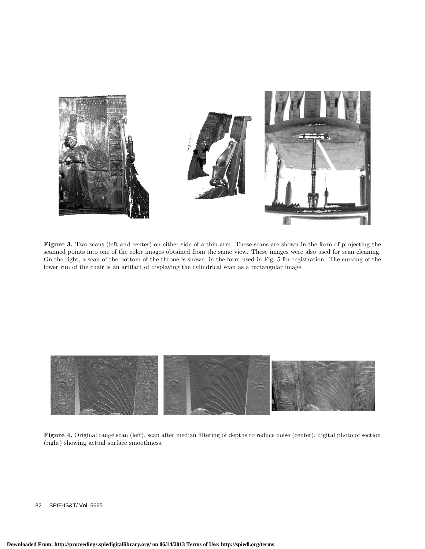

**Figure 3.** Two scans (left and center) on either side of a thin arm. These scans are shown in the form of projecting the scanned points into one of the color images obtained from the same view. These images were also used for scan cleaning. On the right, a scan of the bottom of the throne is shown, in the form used in Fig. 5 for registration. The curving of the lower run of the chair is an artifact of displaying the cylindrical scan as a rectangular image.



**Figure 4.** Original range scan (left), scan after median filtering of depths to reduce noise (center), digital photo of section (right) showing actual surface smoothness.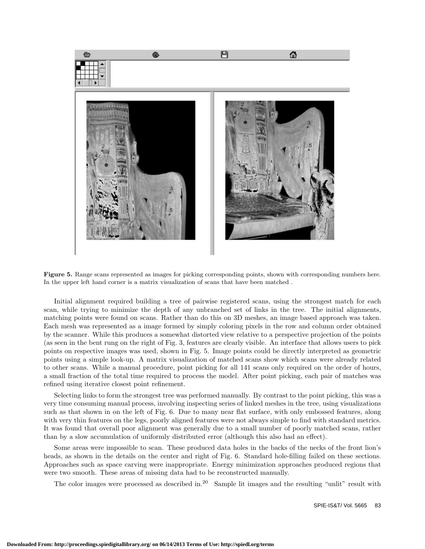

**Figure 5.** Range scans represented as images for picking corresponding points, shown with corresponding numbers here. In the upper left hand corner is a matrix visualization of scans that have been matched .

Initial alignment required building a tree of pairwise registered scans, using the strongest match for each scan, while trying to minimize the depth of any unbranched set of links in the tree. The initial alignments, matching points were found on scans. Rather than do this on 3D meshes, an image based approach was taken. Each mesh was represented as a image formed by simply coloring pixels in the row and column order obtained by the scanner. While this produces a somewhat distorted view relative to a perspective projection of the points (as seen in the bent rung on the right of Fig. 3, features are clearly visible. An interface that allows users to pick points on respective images was used, shown in Fig. 5. Image points could be directly interpreted as geometric points using a simple look-up. A matrix visualization of matched scans show which scans were already related to other scans. While a manual procedure, point picking for all 141 scans only required on the order of hours, a small fraction of the total time required to process the model. After point picking, each pair of matches was refined using iterative closest point refinement.

Selecting links to form the strongest tree was performed manually. By contrast to the point picking, this was a very time consuming manual process, involving inspecting series of linked meshes in the tree, using visualizations such as that shown in on the left of Fig. 6. Due to many near flat surface, with only embossed features, along with very thin features on the legs, poorly aligned features were not always simple to find with standard metrics. It was found that overall poor alignment was generally due to a small number of poorly matched scans, rather than by a slow accumulation of uniformly distributed error (although this also had an effect).

Some areas were impossible to scan. These produced data holes in the backs of the necks of the front lion's heads, as shown in the details on the center and right of Fig. 6. Standard hole-filling failed on these sections. Approaches such as space carving were inappropriate. Energy minimization approaches produced regions that were two smooth. These areas of missing data had to be reconstructed manually.

The color images were processed as described in.<sup>20</sup> Sample lit images and the resulting "unlit" result with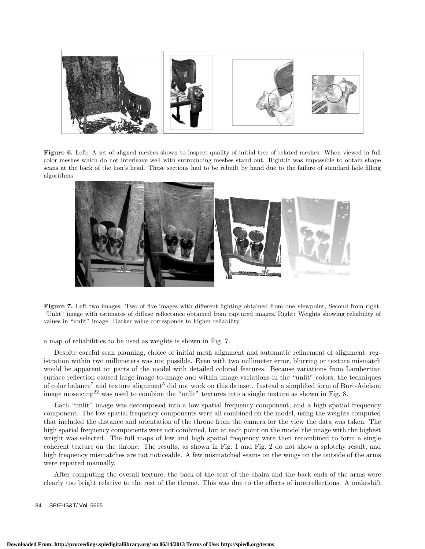

**Figure 6.** Left: A set of aligned meshes shown to inspect quality of initial tree of related meshes. When viewed in full color meshes which do not interleave well with surrounding meshes stand out. Right:It was impossible to obtain shape scans at the back of the lion's head. These sections had to be rebuilt by hand due to the failure of standard hole filling algorithms.



**Figure 7.** Left two images: Two of five images with different lighting obtained from one viewpoint, Second from right: "Unlit" image with estimates of diffuse reflectance obtained from captured images, Right: Weights showing reliability of values in "unlit" image. Darker value corresponds to higher reliability.

a map of reliabilities to be used as weights is shown in Fig. 7.

Despite careful scan planning, choice of initial mesh alignment and automatic refinement of alignment, registration within two millimeters was not possible. Even with two millimeter error, blurring or texture mismatch would be apparent on parts of the model with detailed colored features. Because variations from Lambertian surface reflection caused large image-to-image and within image variations in the "unlit" colors, the techniques of color balance<sup>7</sup> and texture alignment<sup>5</sup> did not work on this dataset. Instead a simplified form of Burt-Adelson image mosaicing<sup>22</sup> was used to combine the "unlit" textures into a single texture as shown in Fig. 8.

Each "unlit" image was decomposed into a low spatial frequency component, and a high spatial frequency component. The low spatial frequency components were all combined on the model, using the weights computed that included the distance and orientation of the throne from the camera for the view the data was taken. The high spatial frequency components were not combined, but at each point on the model the image with the highest weight was selected. The full maps of low and high spatial frequency were then recombined to form a single coherent texture on the throne. The results, as shown in Fig. 1 and Fig. 2 do not show a splotchy result, and high frequency mismatches are not noticeable. A few mismatched seams on the wings on the outside of the arms were repaired manually.

After computing the overall texture, the back of the seat of the chairs and the back ends of the arms were clearly too bright relative to the rest of the throne. This was due to the effects of interreflections. A makeshift

#### 84 SPIE-IS&T/ Vol. 5665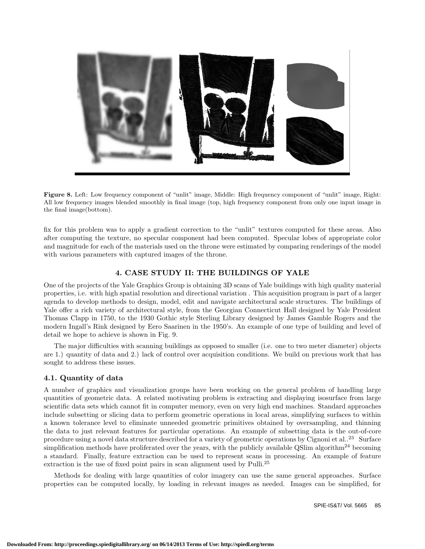

**Figure 8.** Left: Low frequency component of "unlit" image, Middle: High frequency component of "unlit" image, Right: All low frequency images blended smoothly in final image (top, high frequency component from only one input image in the final image(bottom).

fix for this problem was to apply a gradient correction to the "unlit" textures computed for these areas. Also after computing the texture, no specular component had been computed. Specular lobes of appropriate color and magnitude for each of the materials used on the throne were estimated by comparing renderings of the model with various parameters with captured images of the throne.

# **4. CASE STUDY II: THE BUILDINGS OF YALE**

One of the projects of the Yale Graphics Group is obtaining 3D scans of Yale buildings with high quality material properties, i.e. with high spatial resolution and directional variation . This acquisition program is part of a larger agenda to develop methods to design, model, edit and navigate architectural scale structures. The buildings of Yale offer a rich variety of architectural style, from the Georgian Connecticut Hall designed by Yale President Thomas Clapp in 1750, to the 1930 Gothic style Sterling Library designed by James Gamble Rogers and the modern Ingall's Rink designed by Eero Saarinen in the 1950's. An example of one type of building and level of detail we hope to achieve is shown in Fig. 9.

The major difficulties with scanning buildings as opposed to smaller (i.e. one to two meter diameter) objects are 1.) quantity of data and 2.) lack of control over acquisition conditions. We build on previous work that has sought to address these issues.

# **4.1. Quantity of data**

A number of graphics and visualization groups have been working on the general problem of handling large quantities of geometric data. A related motivating problem is extracting and displaying isosurface from large scientific data sets which cannot fit in computer memory, even on very high end machines. Standard approaches include subsetting or slicing data to perform geometric operations in local areas, simplifying surfaces to within a known tolerance level to eliminate unneeded geometric primitives obtained by oversampling, and thinning the data to just relevant features for particular operations. An example of subsetting data is the out-of-core procedure using a novel data structure described for a variety of geometric operations by Cignoni et al..<sup>23</sup> Surface simplification methods have proliferated over the years, with the publicly available QSlim algorithm<sup>24</sup> becoming a standard. Finally, feature extraction can be used to represent scans in processing. An example of feature extraction is the use of fixed point pairs in scan alignment used by Pulli.<sup>25</sup>

Methods for dealing with large quantities of color imagery can use the same general approaches. Surface properties can be computed locally, by loading in relevant images as needed. Images can be simplified, for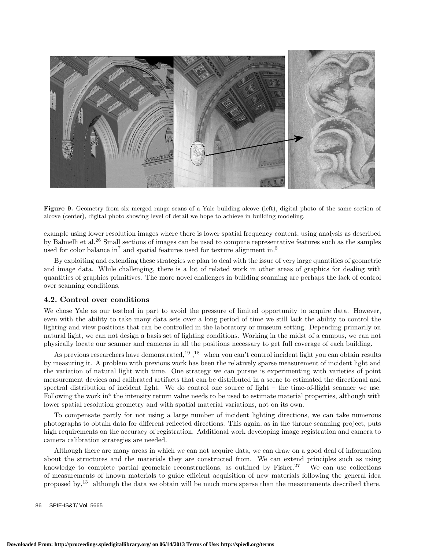

**Figure 9.** Geometry from six merged range scans of a Yale building alcove (left), digital photo of the same section of alcove (center), digital photo showing level of detail we hope to achieve in building modeling.

example using lower resolution images where there is lower spatial frequency content, using analysis as described by Balmelli et al.<sup>26</sup> Small sections of images can be used to compute representative features such as the samples used for color balance in<sup>7</sup> and spatial features used for texture alignment in.<sup>5</sup>

By exploiting and extending these strategies we plan to deal with the issue of very large quantities of geometric and image data. While challenging, there is a lot of related work in other areas of graphics for dealing with quantities of graphics primitives. The more novel challenges in building scanning are perhaps the lack of control over scanning conditions.

## **4.2. Control over conditions**

We chose Yale as our testbed in part to avoid the pressure of limited opportunity to acquire data. However, even with the ability to take many data sets over a long period of time we still lack the ability to control the lighting and view positions that can be controlled in the laboratory or museum setting. Depending primarily on natural light, we can not design a basis set of lighting conditions. Working in the midst of a campus, we can not physically locate our scanner and cameras in all the positions necessary to get full coverage of each building.

As previous researchers have demonstrated,  $19$ ,  $18$  when you can't control incident light you can obtain results by measuring it. A problem with previous work has been the relatively sparse measurement of incident light and the variation of natural light with time. One strategy we can pursue is experimenting with varieties of point measurement devices and calibrated artifacts that can be distributed in a scene to estimated the directional and spectral distribution of incident light. We do control one source of light – the time-of-flight scanner we use. Following the work in<sup>4</sup> the intensity return value needs to be used to estimate material properties, although with lower spatial resolution geometry and with spatial material variations, not on its own.

To compensate partly for not using a large number of incident lighting directions, we can take numerous photographs to obtain data for different reflected directions. This again, as in the throne scanning project, puts high requirements on the accuracy of registration. Additional work developing image registration and camera to camera calibration strategies are needed.

Although there are many areas in which we can not acquire data, we can draw on a good deal of information about the structures and the materials they are constructed from. We can extend principles such as using knowledge to complete partial geometric reconstructions, as outlined by Fisher.<sup>27</sup> We can use collections of measurements of known materials to guide efficient acquisition of new materials following the general idea proposed by,<sup>13</sup> although the data we obtain will be much more sparse than the measurements described there.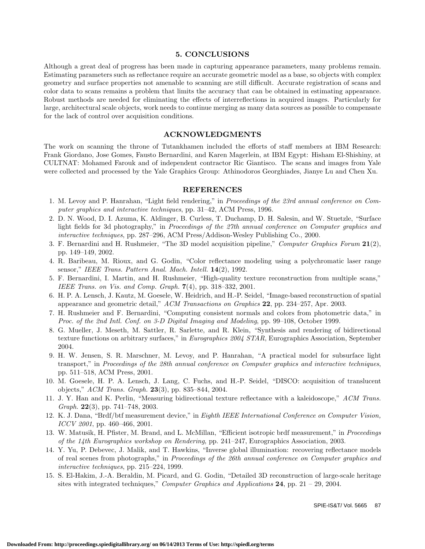## **5. CONCLUSIONS**

Although a great deal of progress has been made in capturing appearance parameters, many problems remain. Estimating parameters such as reflectance require an accurate geometric model as a base, so objects with complex geometry and surface properties not amenable to scanning are still difficult. Accurate registration of scans and color data to scans remains a problem that limits the accuracy that can be obtained in estimating appearance. Robust methods are needed for eliminating the effects of interreflections in acquired images. Particularly for large, architectural scale objects, work needs to continue merging as many data sources as possible to compensate for the lack of control over acquisition conditions.

## **ACKNOWLEDGMENTS**

The work on scanning the throne of Tutankhamen included the efforts of staff members at IBM Research: Frank Giordano, Jose Gomes, Fausto Bernardini, and Karen Magerlein, at IBM Egypt: Hisham El-Shishiny, at CULTNAT: Mohamed Farouk and of independent contractor Ric Giantisco. The scans and images from Yale were collected and processed by the Yale Graphics Group: Athinodoros Georghiades, Jianye Lu and Chen Xu.

#### **REFERENCES**

- 1. M. Levoy and P. Hanrahan, "Light field rendering," in *Proceedings of the 23rd annual conference on Computer graphics and interactive techniques*, pp. 31–42, ACM Press, 1996.
- 2. D. N. Wood, D. I. Azuma, K. Aldinger, B. Curless, T. Duchamp, D. H. Salesin, and W. Stuetzle, "Surface light fields for 3d photography," in *Proceedings of the 27th annual conference on Computer graphics and interactive techniques*, pp. 287–296, ACM Press/Addison-Wesley Publishing Co., 2000.
- 3. F. Bernardini and H. Rushmeier, "The 3D model acquisition pipeline," *Computer Graphics Forum* **21**(2), pp. 149–149, 2002.
- 4. R. Baribeau, M. Rioux, and G. Godin, "Color reflectance modeling using a polychromatic laser range sensor," *IEEE Trans. Pattern Anal. Mach. Intell.* **14**(2), 1992.
- 5. F. Bernardini, I. Martin, and H. Rushmeier, "High-quality texture reconstruction from multiple scans," *IEEE Trans. on Vis. and Comp. Graph.* **7**(4), pp. 318–332, 2001.
- 6. H. P. A. Lensch, J. Kautz, M. Goesele, W. Heidrich, and H.-P. Seidel, "Image-based reconstruction of spatial appearance and geometric detail," *ACM Transactions on Graphics* **22**, pp. 234–257, Apr. 2003.
- 7. H. Rushmeier and F. Bernardini, "Computing consistent normals and colors from photometric data," in *Proc. of the 2nd Intl. Conf. on 3-D Digital Imaging and Modeling*, pp. 99–108, October 1999.
- 8. G. Mueller, J. Meseth, M. Sattler, R. Sarlette, and R. Klein, "Synthesis and rendering of bidirectional texture functions on arbitrary surfaces," in *Eurographics 2004 STAR*, Eurographics Association, September 2004.
- 9. H. W. Jensen, S. R. Marschner, M. Levoy, and P. Hanrahan, "A practical model for subsurface light transport," in *Proceedings of the 28th annual conference on Computer graphics and interactive techniques*, pp. 511–518, ACM Press, 2001.
- 10. M. Goesele, H. P. A. Lensch, J. Lang, C. Fuchs, and H.-P. Seidel, "DISCO: acquisition of translucent objects," *ACM Trans. Graph.* **23**(3), pp. 835–844, 2004.
- 11. J. Y. Han and K. Perlin, "Measuring bidirectional texture reflectance with a kaleidoscope," *ACM Trans. Graph.* **22**(3), pp. 741–748, 2003.
- 12. K. J. Dana, "Brdf/btf measurement device," in *Eighth IEEE International Conference on Computer Vision, ICCV 2001*, pp. 460–466, 2001.
- 13. W. Matusik, H. Pfister, M. Brand, and L. McMillan, "Efficient isotropic brdf measurement," in *Proceedings of the 14th Eurographics workshop on Rendering*, pp. 241–247, Eurographics Association, 2003.
- 14. Y. Yu, P. Debevec, J. Malik, and T. Hawkins, "Inverse global illumination: recovering reflectance models of real scenes from photographs," in *Proceedings of the 26th annual conference on Computer graphics and interactive techniques*, pp. 215–224, 1999.
- 15. S. El-Hakim, J.-A. Beraldin, M. Picard, and G. Godin, "Detailed 3D reconstruction of large-scale heritage sites with integrated techniques," *Computer Graphics and Applications* **24**, pp. 21 – 29, 2004.